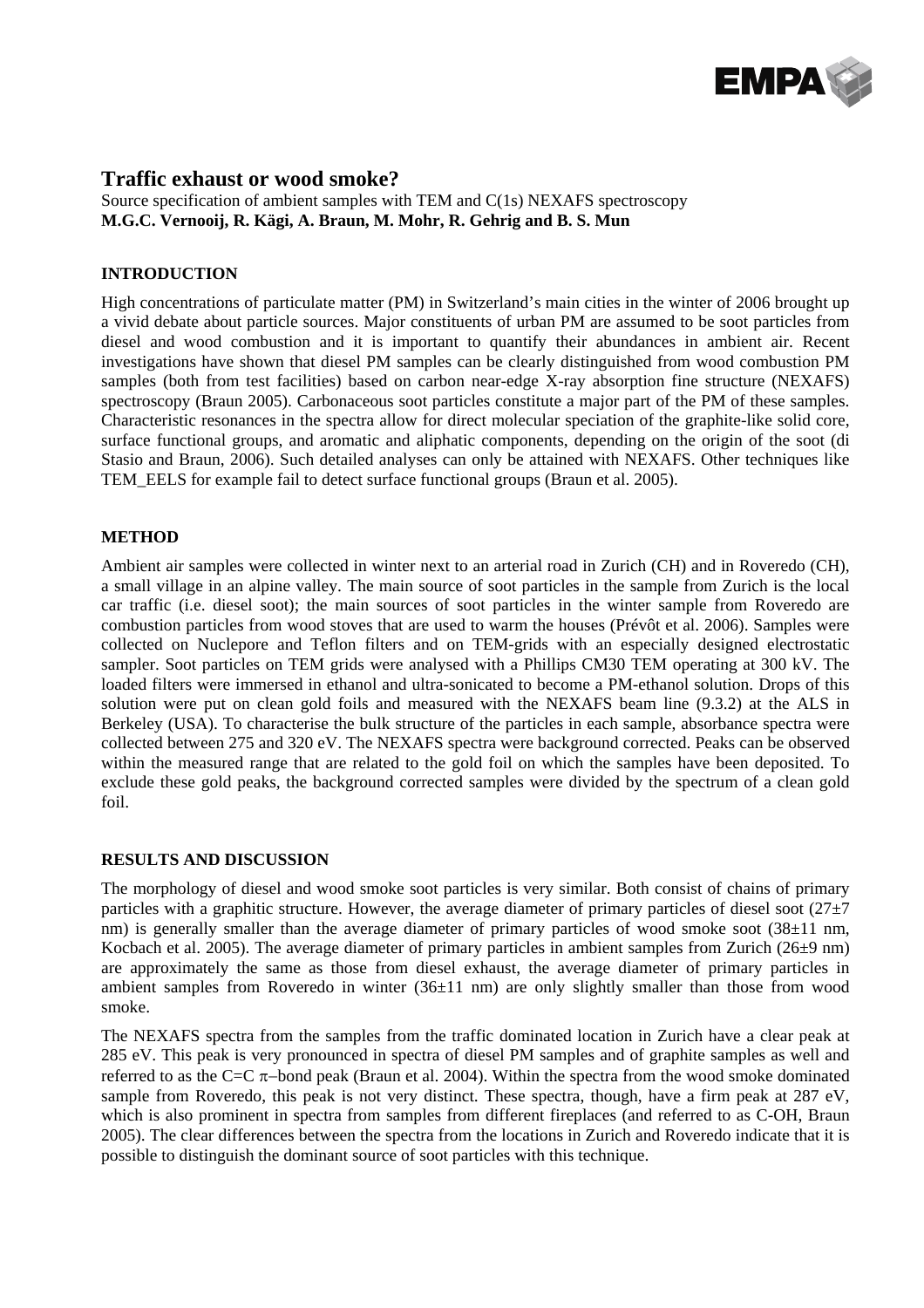

## **Traffic exhaust or wood smoke?**

Source specification of ambient samples with TEM and C(1s) NEXAFS spectroscopy **M.G.C. Vernooij, R. Kägi, A. Braun, M. Mohr, R. Gehrig and B. S. Mun** 

### **INTRODUCTION**

High concentrations of particulate matter (PM) in Switzerland's main cities in the winter of 2006 brought up a vivid debate about particle sources. Major constituents of urban PM are assumed to be soot particles from diesel and wood combustion and it is important to quantify their abundances in ambient air. Recent investigations have shown that diesel PM samples can be clearly distinguished from wood combustion PM samples (both from test facilities) based on carbon near-edge X-ray absorption fine structure (NEXAFS) spectroscopy (Braun 2005). Carbonaceous soot particles constitute a major part of the PM of these samples. Characteristic resonances in the spectra allow for direct molecular speciation of the graphite-like solid core, surface functional groups, and aromatic and aliphatic components, depending on the origin of the soot (di Stasio and Braun, 2006). Such detailed analyses can only be attained with NEXAFS. Other techniques like TEM\_EELS for example fail to detect surface functional groups (Braun et al. 2005).

### **METHOD**

Ambient air samples were collected in winter next to an arterial road in Zurich (CH) and in Roveredo (CH), a small village in an alpine valley. The main source of soot particles in the sample from Zurich is the local car traffic (i.e. diesel soot); the main sources of soot particles in the winter sample from Roveredo are combustion particles from wood stoves that are used to warm the houses (Prévôt et al. 2006). Samples were collected on Nuclepore and Teflon filters and on TEM-grids with an especially designed electrostatic sampler. Soot particles on TEM grids were analysed with a Phillips CM30 TEM operating at 300 kV. The loaded filters were immersed in ethanol and ultra-sonicated to become a PM-ethanol solution. Drops of this solution were put on clean gold foils and measured with the NEXAFS beam line (9.3.2) at the ALS in Berkeley (USA). To characterise the bulk structure of the particles in each sample, absorbance spectra were collected between 275 and 320 eV. The NEXAFS spectra were background corrected. Peaks can be observed within the measured range that are related to the gold foil on which the samples have been deposited. To exclude these gold peaks, the background corrected samples were divided by the spectrum of a clean gold foil.

### **RESULTS AND DISCUSSION**

The morphology of diesel and wood smoke soot particles is very similar. Both consist of chains of primary particles with a graphitic structure. However, the average diameter of primary particles of diesel soot  $(27\pm7)$ nm) is generally smaller than the average diameter of primary particles of wood smoke soot  $(38\pm11 \text{ nm})$ , Kocbach et al. 2005). The average diameter of primary particles in ambient samples from Zurich (26±9 nm) are approximately the same as those from diesel exhaust, the average diameter of primary particles in ambient samples from Roveredo in winter (36±11 nm) are only slightly smaller than those from wood smoke.

The NEXAFS spectra from the samples from the traffic dominated location in Zurich have a clear peak at 285 eV. This peak is very pronounced in spectra of diesel PM samples and of graphite samples as well and referred to as the C=C π−bond peak (Braun et al. 2004). Within the spectra from the wood smoke dominated sample from Roveredo, this peak is not very distinct. These spectra, though, have a firm peak at 287 eV, which is also prominent in spectra from samples from different fireplaces (and referred to as C-OH, Braun 2005). The clear differences between the spectra from the locations in Zurich and Roveredo indicate that it is possible to distinguish the dominant source of soot particles with this technique.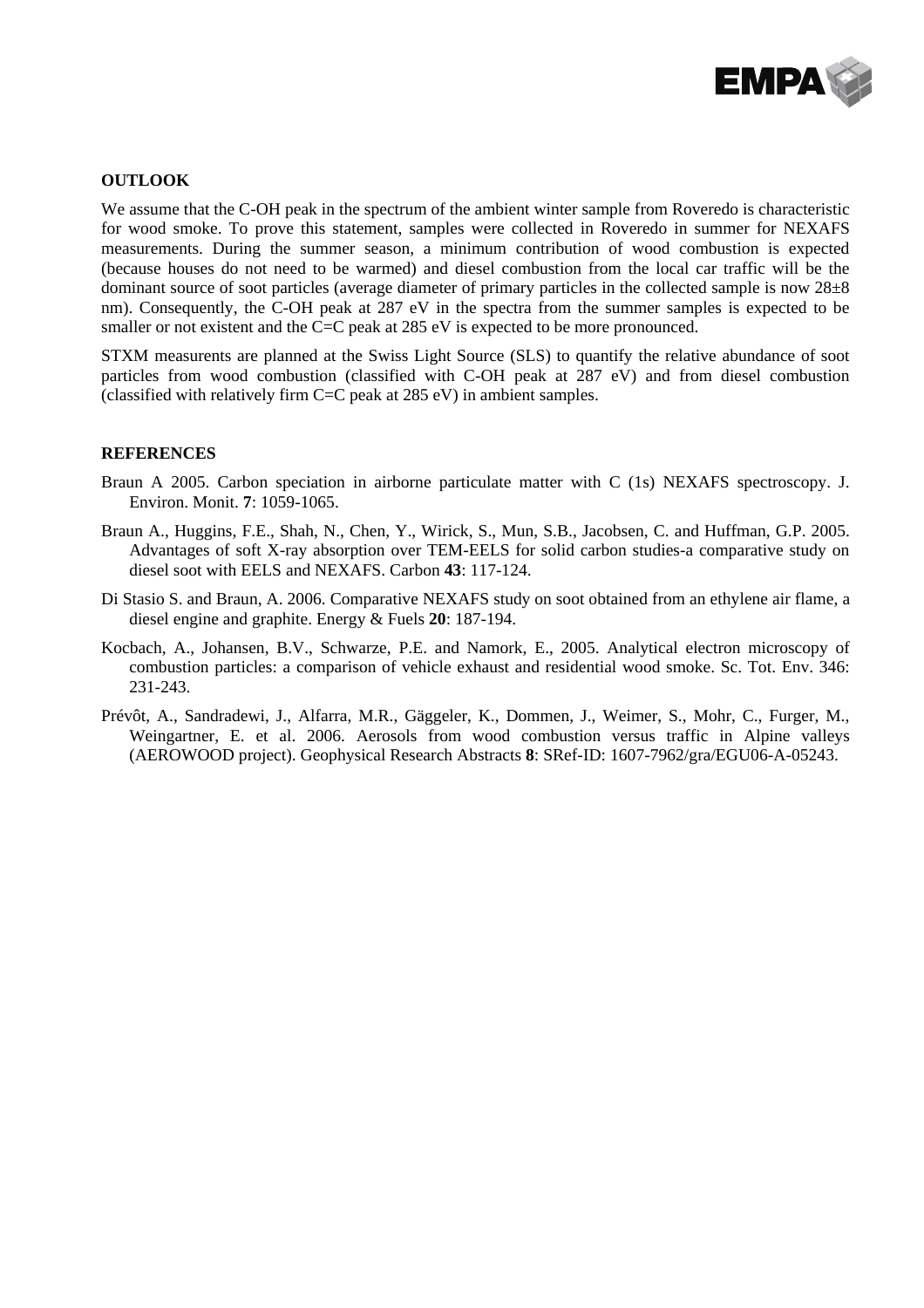

### **OUTLOOK**

We assume that the C-OH peak in the spectrum of the ambient winter sample from Roveredo is characteristic for wood smoke. To prove this statement, samples were collected in Roveredo in summer for NEXAFS measurements. During the summer season, a minimum contribution of wood combustion is expected (because houses do not need to be warmed) and diesel combustion from the local car traffic will be the dominant source of soot particles (average diameter of primary particles in the collected sample is now 28±8 nm). Consequently, the C-OH peak at 287 eV in the spectra from the summer samples is expected to be smaller or not existent and the C=C peak at 285 eV is expected to be more pronounced.

STXM measurents are planned at the Swiss Light Source (SLS) to quantify the relative abundance of soot particles from wood combustion (classified with C-OH peak at 287 eV) and from diesel combustion (classified with relatively firm  $C=C$  peak at 285 eV) in ambient samples.

### **REFERENCES**

- Braun A 2005. Carbon speciation in airborne particulate matter with C (1s) NEXAFS spectroscopy. J. Environ. Monit. **7**: 1059-1065.
- Braun A., Huggins, F.E., Shah, N., Chen, Y., Wirick, S., Mun, S.B., Jacobsen, C. and Huffman, G.P. 2005. Advantages of soft X-ray absorption over TEM-EELS for solid carbon studies-a comparative study on diesel soot with EELS and NEXAFS. Carbon **43**: 117-124.
- Di Stasio S. and Braun, A. 2006. Comparative NEXAFS study on soot obtained from an ethylene air flame, a diesel engine and graphite. Energy & Fuels **20**: 187-194.
- Kocbach, A., Johansen, B.V., Schwarze, P.E. and Namork, E., 2005. Analytical electron microscopy of combustion particles: a comparison of vehicle exhaust and residential wood smoke. Sc. Tot. Env. 346: 231-243.
- Prévôt, A., Sandradewi, J., Alfarra, M.R., Gäggeler, K., Dommen, J., Weimer, S., Mohr, C., Furger, M., Weingartner, E. et al. 2006. Aerosols from wood combustion versus traffic in Alpine valleys (AEROWOOD project). Geophysical Research Abstracts **8**: SRef-ID: 1607-7962/gra/EGU06-A-05243.